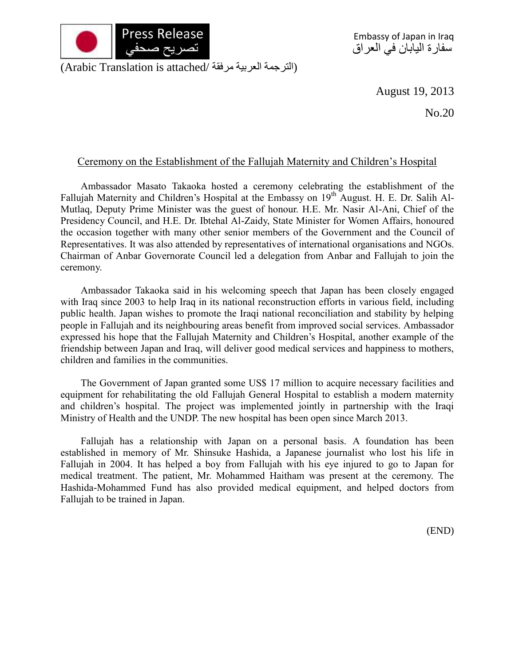

(الترجمة العربية مرفقة /Arabic Translation is attached)

August 19, 2013

No.20

## Ceremony on the Establishment of the Fallujah Maternity and Children's Hospital

Ambassador Masato Takaoka hosted a ceremony celebrating the establishment of the Fallujah Maternity and Children's Hospital at the Embassy on 19<sup>th</sup> August. H. E. Dr. Salih Al-Mutlaq, Deputy Prime Minister was the guest of honour. H.E. Mr. Nasir Al-Ani, Chief of the Presidency Council, and H.E. Dr. Ibtehal Al-Zaidy, State Minister for Women Affairs, honoured the occasion together with many other senior members of the Government and the Council of Representatives. It was also attended by representatives of international organisations and NGOs. Chairman of Anbar Governorate Council led a delegation from Anbar and Fallujah to join the ceremony.

Ambassador Takaoka said in his welcoming speech that Japan has been closely engaged with Iraq since 2003 to help Iraq in its national reconstruction efforts in various field, including public health. Japan wishes to promote the Iraqi national reconciliation and stability by helping people in Fallujah and its neighbouring areas benefit from improved social services. Ambassador expressed his hope that the Fallujah Maternity and Children's Hospital, another example of the friendship between Japan and Iraq, will deliver good medical services and happiness to mothers, children and families in the communities.

The Government of Japan granted some US\$ 17 million to acquire necessary facilities and equipment for rehabilitating the old Fallujah General Hospital to establish a modern maternity and children's hospital. The project was implemented jointly in partnership with the Iraqi Ministry of Health and the UNDP. The new hospital has been open since March 2013.

Fallujah has a relationship with Japan on a personal basis. A foundation has been established in memory of Mr. Shinsuke Hashida, a Japanese journalist who lost his life in Fallujah in 2004. It has helped a boy from Fallujah with his eye injured to go to Japan for medical treatment. The patient, Mr. Mohammed Haitham was present at the ceremony. The Hashida-Mohammed Fund has also provided medical equipment, and helped doctors from Fallujah to be trained in Japan.

(END)